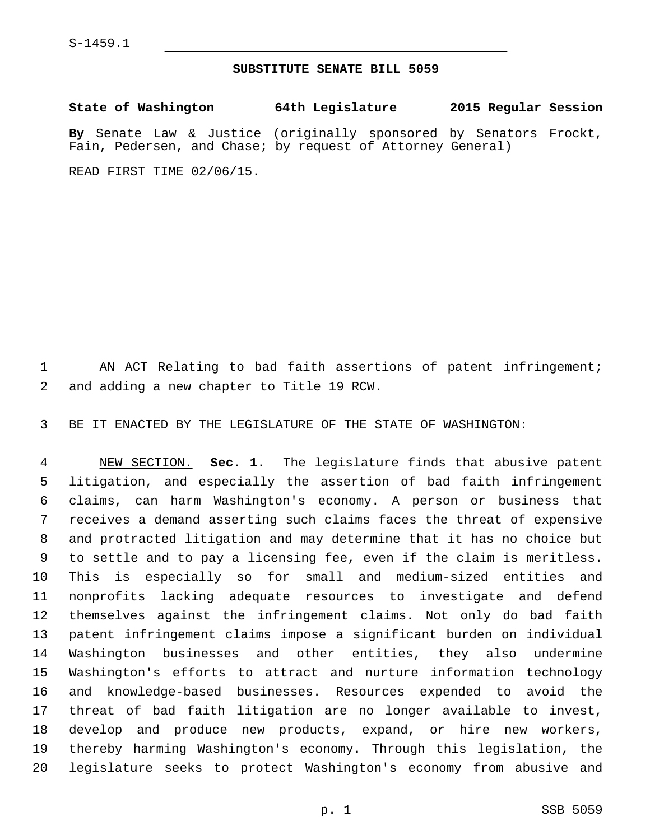## **SUBSTITUTE SENATE BILL 5059**

**State of Washington 64th Legislature 2015 Regular Session By** Senate Law & Justice (originally sponsored by Senators Frockt, Fain, Pedersen, and Chase; by request of Attorney General) READ FIRST TIME 02/06/15.

 AN ACT Relating to bad faith assertions of patent infringement; 2 and adding a new chapter to Title 19 RCW.

BE IT ENACTED BY THE LEGISLATURE OF THE STATE OF WASHINGTON:

 NEW SECTION. **Sec. 1.** The legislature finds that abusive patent litigation, and especially the assertion of bad faith infringement claims, can harm Washington's economy. A person or business that receives a demand asserting such claims faces the threat of expensive and protracted litigation and may determine that it has no choice but to settle and to pay a licensing fee, even if the claim is meritless. This is especially so for small and medium-sized entities and nonprofits lacking adequate resources to investigate and defend themselves against the infringement claims. Not only do bad faith patent infringement claims impose a significant burden on individual Washington businesses and other entities, they also undermine Washington's efforts to attract and nurture information technology and knowledge-based businesses. Resources expended to avoid the threat of bad faith litigation are no longer available to invest, develop and produce new products, expand, or hire new workers, thereby harming Washington's economy. Through this legislation, the legislature seeks to protect Washington's economy from abusive and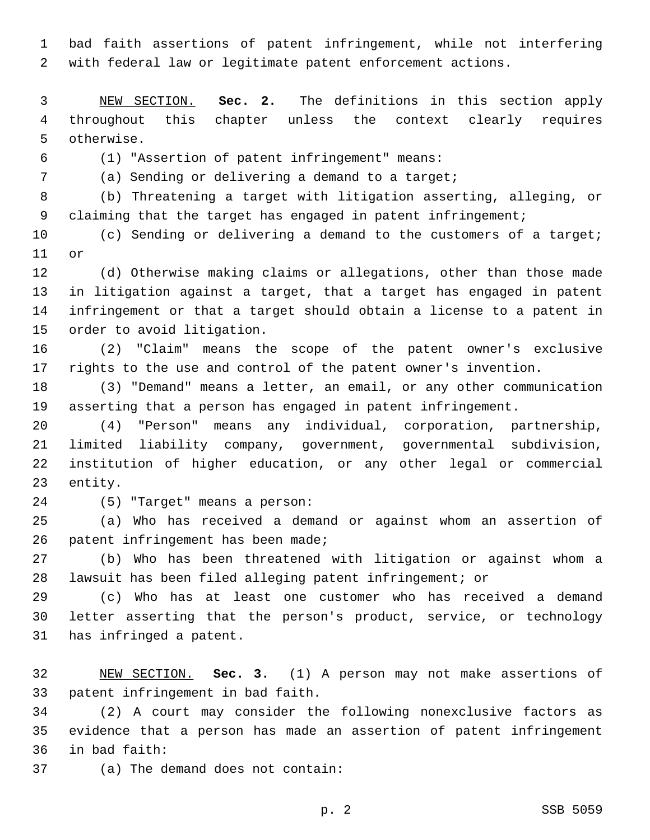bad faith assertions of patent infringement, while not interfering with federal law or legitimate patent enforcement actions.

 NEW SECTION. **Sec. 2.** The definitions in this section apply throughout this chapter unless the context clearly requires otherwise.

(1) "Assertion of patent infringement" means:6

(a) Sending or delivering a demand to a target;

 (b) Threatening a target with litigation asserting, alleging, or 9 claiming that the target has engaged in patent infringement;

10 (c) Sending or delivering a demand to the customers of a target; 11 or

 (d) Otherwise making claims or allegations, other than those made in litigation against a target, that a target has engaged in patent infringement or that a target should obtain a license to a patent in 15 order to avoid litigation.

 (2) "Claim" means the scope of the patent owner's exclusive rights to the use and control of the patent owner's invention.

 (3) "Demand" means a letter, an email, or any other communication asserting that a person has engaged in patent infringement.

 (4) "Person" means any individual, corporation, partnership, limited liability company, government, governmental subdivision, institution of higher education, or any other legal or commercial 23 entity.

(5) "Target" means a person:24

 (a) Who has received a demand or against whom an assertion of 26 patent infringement has been made;

 (b) Who has been threatened with litigation or against whom a lawsuit has been filed alleging patent infringement; or

 (c) Who has at least one customer who has received a demand letter asserting that the person's product, service, or technology 31 has infringed a patent.

 NEW SECTION. **Sec. 3.** (1) A person may not make assertions of patent infringement in bad faith.

 (2) A court may consider the following nonexclusive factors as evidence that a person has made an assertion of patent infringement in bad faith:36

37 (a) The demand does not contain:

p. 2 SSB 5059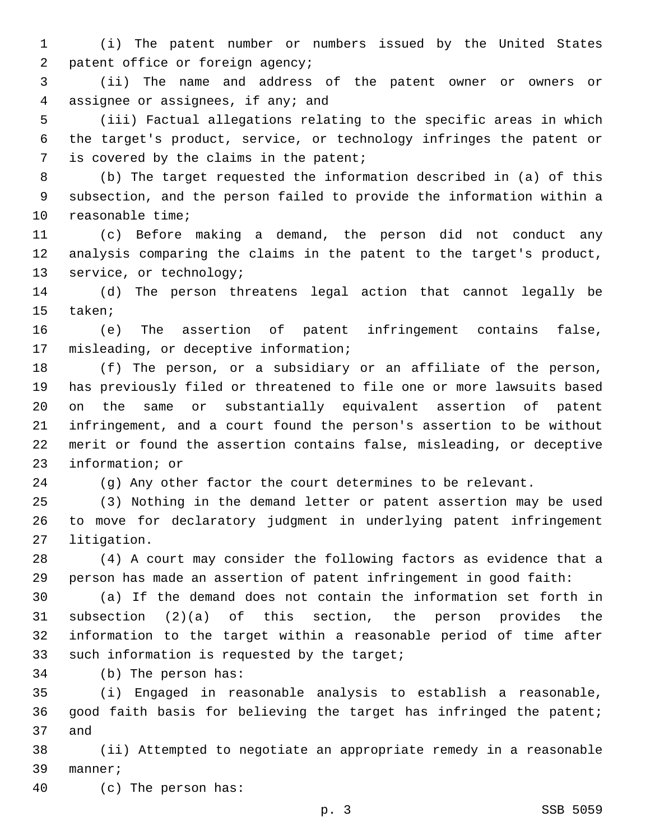(i) The patent number or numbers issued by the United States 2 patent office or foreign agency;

 (ii) The name and address of the patent owner or owners or 4 assignee or assignees, if any; and

 (iii) Factual allegations relating to the specific areas in which the target's product, service, or technology infringes the patent or 7 is covered by the claims in the patent;

 (b) The target requested the information described in (a) of this subsection, and the person failed to provide the information within a 10 reasonable time;

 (c) Before making a demand, the person did not conduct any analysis comparing the claims in the patent to the target's product, 13 service, or technology;

 (d) The person threatens legal action that cannot legally be 15 taken;

 (e) The assertion of patent infringement contains false, 17 misleading, or deceptive information;

 (f) The person, or a subsidiary or an affiliate of the person, has previously filed or threatened to file one or more lawsuits based on the same or substantially equivalent assertion of patent infringement, and a court found the person's assertion to be without merit or found the assertion contains false, misleading, or deceptive 23 information; or

(g) Any other factor the court determines to be relevant.

 (3) Nothing in the demand letter or patent assertion may be used to move for declaratory judgment in underlying patent infringement 27 litigation.

 (4) A court may consider the following factors as evidence that a person has made an assertion of patent infringement in good faith:

 (a) If the demand does not contain the information set forth in subsection (2)(a) of this section, the person provides the information to the target within a reasonable period of time after 33 such information is requested by the target;

34 (b) The person has:

 (i) Engaged in reasonable analysis to establish a reasonable, good faith basis for believing the target has infringed the patent; 37 and

 (ii) Attempted to negotiate an appropriate remedy in a reasonable 39 manner;

(c) The person has:40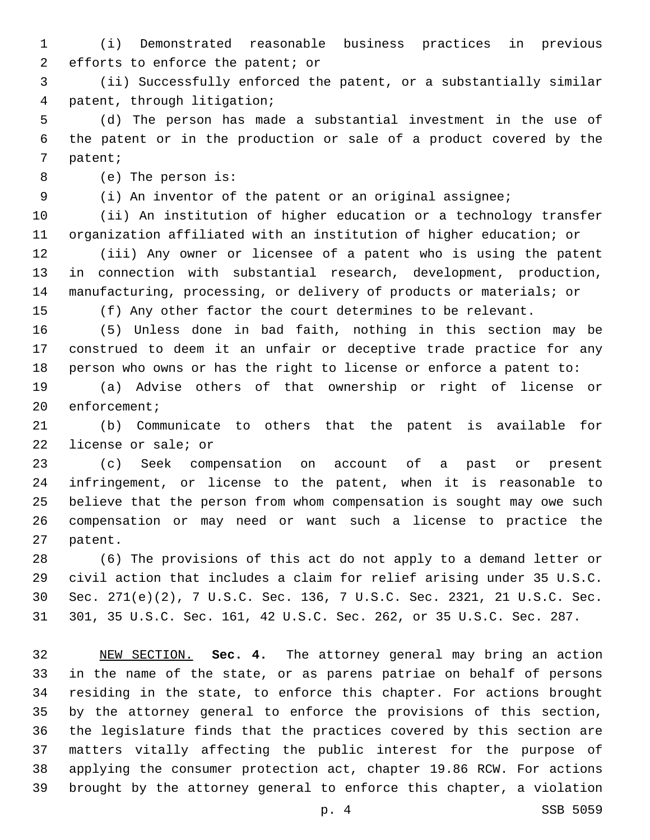(i) Demonstrated reasonable business practices in previous 2 efforts to enforce the patent; or

 (ii) Successfully enforced the patent, or a substantially similar 4 patent, through litigation;

 (d) The person has made a substantial investment in the use of the patent or in the production or sale of a product covered by the 7 patent;

8 (e) The person is:

(i) An inventor of the patent or an original assignee;

 (ii) An institution of higher education or a technology transfer organization affiliated with an institution of higher education; or

 (iii) Any owner or licensee of a patent who is using the patent in connection with substantial research, development, production, manufacturing, processing, or delivery of products or materials; or

(f) Any other factor the court determines to be relevant.

 (5) Unless done in bad faith, nothing in this section may be construed to deem it an unfair or deceptive trade practice for any person who owns or has the right to license or enforce a patent to:

 (a) Advise others of that ownership or right of license or 20 enforcement;

 (b) Communicate to others that the patent is available for 22 license or sale; or

 (c) Seek compensation on account of a past or present infringement, or license to the patent, when it is reasonable to believe that the person from whom compensation is sought may owe such compensation or may need or want such a license to practice the 27 patent.

 (6) The provisions of this act do not apply to a demand letter or civil action that includes a claim for relief arising under 35 U.S.C. Sec. 271(e)(2), 7 U.S.C. Sec. 136, 7 U.S.C. Sec. 2321, 21 U.S.C. Sec. 301, 35 U.S.C. Sec. 161, 42 U.S.C. Sec. 262, or 35 U.S.C. Sec. 287.

 NEW SECTION. **Sec. 4.** The attorney general may bring an action in the name of the state, or as parens patriae on behalf of persons residing in the state, to enforce this chapter. For actions brought by the attorney general to enforce the provisions of this section, the legislature finds that the practices covered by this section are matters vitally affecting the public interest for the purpose of applying the consumer protection act, chapter 19.86 RCW. For actions brought by the attorney general to enforce this chapter, a violation